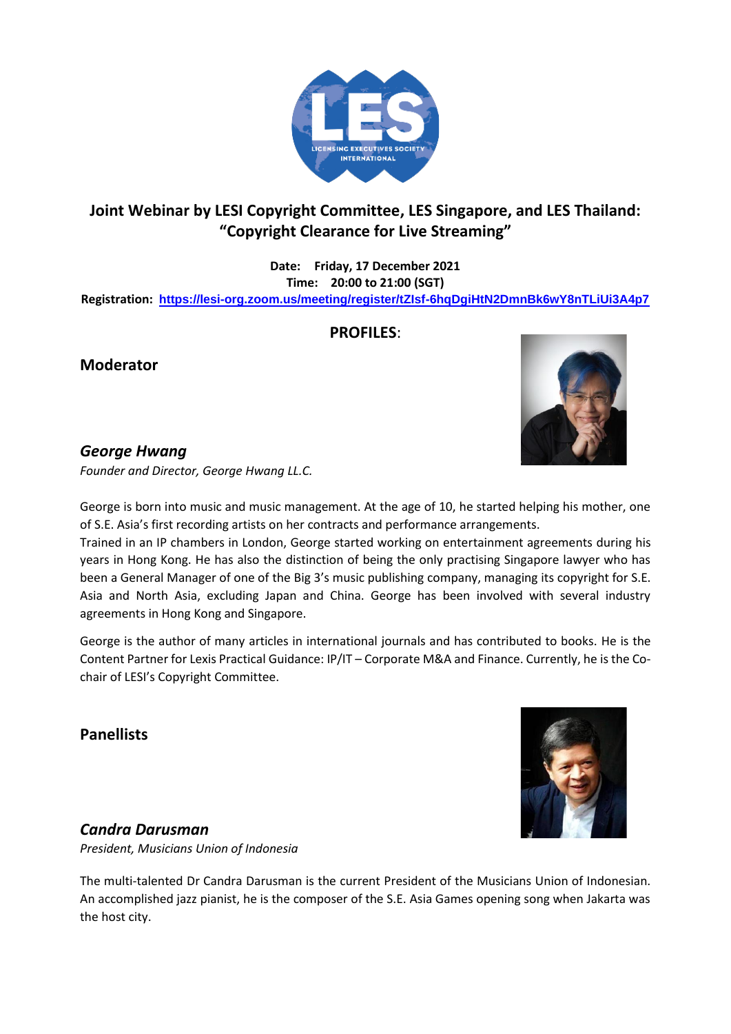

# **Joint Webinar by LESI Copyright Committee, LES Singapore, and LES Thailand: "Copyright Clearance for Live Streaming"**

**Date: Friday, 17 December 2021 Time: 20:00 to 21:00 (SGT) Registration: <https://lesi-org.zoom.us/meeting/register/tZIsf-6hqDgiHtN2DmnBk6wY8nTLiUi3A4p7>**

## **PROFILES**:

**Moderator**



#### *George Hwang*

*Founder and Director, George Hwang LL.C.*

George is born into music and music management. At the age of 10, he started helping his mother, one of S.E. Asia's first recording artists on her contracts and performance arrangements.

Trained in an IP chambers in London, George started working on entertainment agreements during his years in Hong Kong. He has also the distinction of being the only practising Singapore lawyer who has been a General Manager of one of the Big 3's music publishing company, managing its copyright for S.E. Asia and North Asia, excluding Japan and China. George has been involved with several industry agreements in Hong Kong and Singapore.

George is the author of many articles in international journals and has contributed to books. He is the Content Partner for Lexis Practical Guidance: IP/IT – Corporate M&A and Finance. Currently, he is the Cochair of LESI's Copyright Committee.

**Panellists**



# *Candra Darusman*

*President, Musicians Union of Indonesia*

The multi-talented Dr Candra Darusman is the current President of the Musicians Union of Indonesian. An accomplished jazz pianist, he is the composer of the S.E. Asia Games opening song when Jakarta was the host city.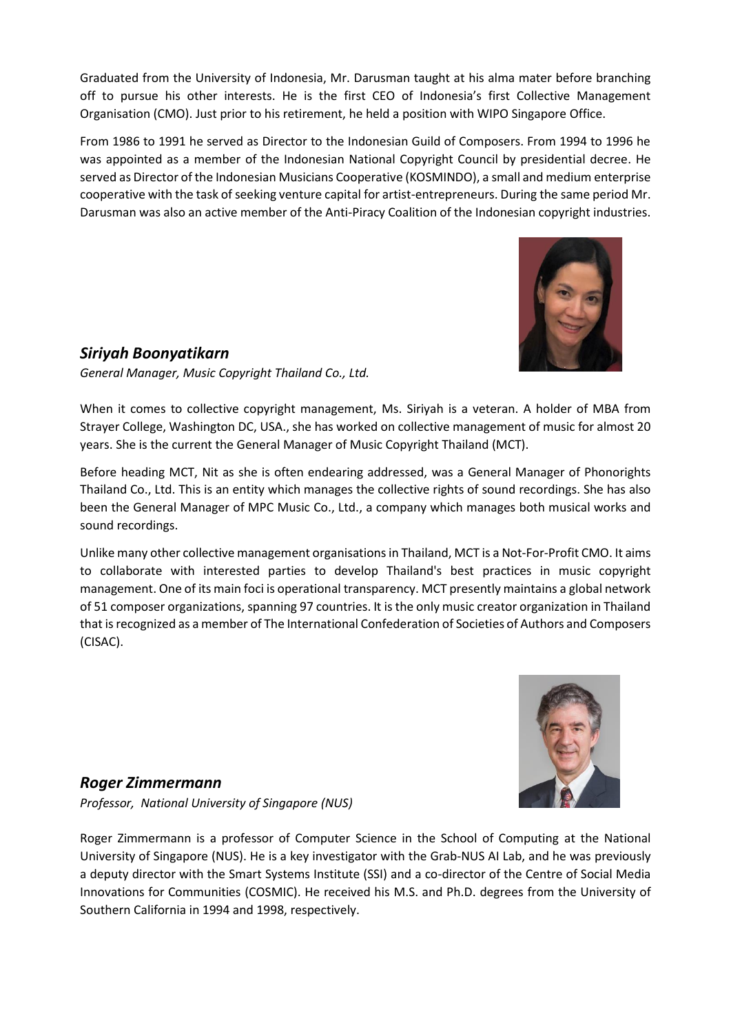Graduated from the University of Indonesia, Mr. Darusman taught at his alma mater before branching off to pursue his other interests. He is the first CEO of Indonesia's first Collective Management Organisation (CMO). Just prior to his retirement, he held a position with WIPO Singapore Office.

From 1986 to 1991 he served as Director to the Indonesian Guild of Composers. From 1994 to 1996 he was appointed as a member of the Indonesian National Copyright Council by presidential decree. He served as Director of the Indonesian Musicians Cooperative (KOSMINDO), a small and medium enterprise cooperative with the task of seeking venture capital for artist-entrepreneurs. During the same period Mr. Darusman was also an active member of the Anti-Piracy Coalition of the Indonesian copyright industries.



# *Siriyah Boonyatikarn*

*General Manager, Music Copyright Thailand Co., Ltd.*

When it comes to collective copyright management, Ms. Siriyah is a veteran. A holder of MBA from Strayer College, Washington DC, USA., she has worked on collective management of music for almost 20 years. She is the current the General Manager of Music Copyright Thailand (MCT).

Before heading MCT, Nit as she is often endearing addressed, was a General Manager of Phonorights Thailand Co., Ltd. This is an entity which manages the collective rights of sound recordings. She has also been the General Manager of MPC Music Co., Ltd., a company which manages both musical works and sound recordings.

Unlike many other collective management organisations in Thailand, MCT is a Not-For-Profit CMO. It aims to collaborate with interested parties to develop Thailand's best practices in music copyright management. One of its main foci is operational transparency. MCT presently maintains a global network of 51 composer organizations, spanning 97 countries. It is the only music creator organization in Thailand that is recognized as a member of The International Confederation of Societies of Authors and Composers (CISAC).



## *Roger Zimmermann*

*Professor, National University of Singapore (NUS)*

Roger Zimmermann is a professor of Computer Science in the School of Computing at the National University of Singapore (NUS). He is a key investigator with the Grab-NUS AI Lab, and he was previously a deputy director with the Smart Systems Institute (SSI) and a co-director of the Centre of Social Media Innovations for Communities (COSMIC). He received his M.S. and Ph.D. degrees from the University of Southern California in 1994 and 1998, respectively.